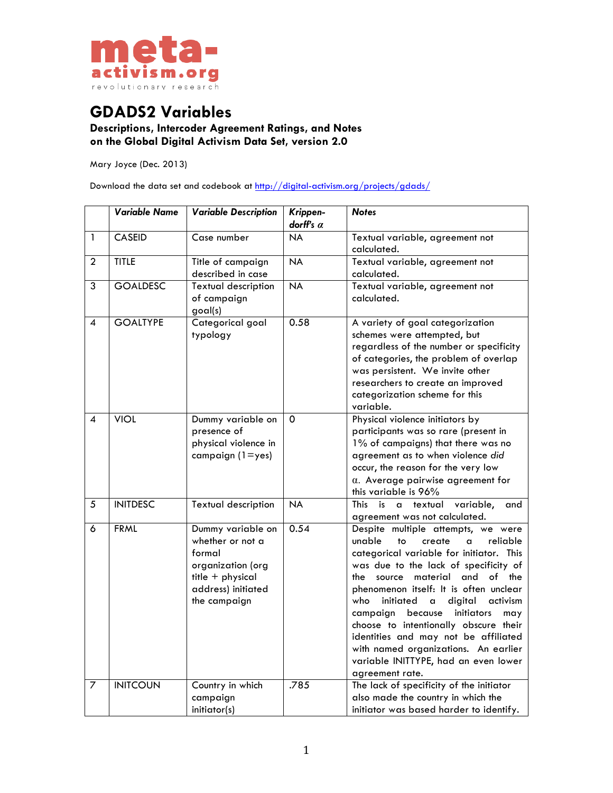

## **GDADS2 Variables**

**Descriptions, Intercoder Agreement Ratings, and Notes on the Global Digital Activism Data Set, version 2.0**

Mary Joyce (Dec. 2013)

Download the data set and codebook at http://digital-activism.org/projects/gdads/

|                          | <b>Variable Name</b> | <b>Variable Description</b>                                                                                                    | Krippen-<br>dorff's $\alpha$ | <b>Notes</b>                                                                                                                                                                                                                                                                                                                                                                                                                                                                                                                                |
|--------------------------|----------------------|--------------------------------------------------------------------------------------------------------------------------------|------------------------------|---------------------------------------------------------------------------------------------------------------------------------------------------------------------------------------------------------------------------------------------------------------------------------------------------------------------------------------------------------------------------------------------------------------------------------------------------------------------------------------------------------------------------------------------|
| 1                        | <b>CASEID</b>        | Case number                                                                                                                    | <b>NA</b>                    | Textual variable, agreement not<br>calculated.                                                                                                                                                                                                                                                                                                                                                                                                                                                                                              |
| $\overline{2}$           | <b>TITLE</b>         | Title of campaign<br>described in case                                                                                         | <b>NA</b>                    | Textual variable, agreement not<br>calculated.                                                                                                                                                                                                                                                                                                                                                                                                                                                                                              |
| 3                        | <b>GOALDESC</b>      | <b>Textual description</b><br>of campaign<br>goal(s)                                                                           | <b>NA</b>                    | Textual variable, agreement not<br>calculated.                                                                                                                                                                                                                                                                                                                                                                                                                                                                                              |
| $\overline{\mathcal{A}}$ | <b>GOALTYPE</b>      | Categorical goal<br>typology                                                                                                   | 0.58                         | A variety of goal categorization<br>schemes were attempted, but<br>regardless of the number or specificity<br>of categories, the problem of overlap<br>was persistent. We invite other<br>researchers to create an improved<br>categorization scheme for this<br>variable.                                                                                                                                                                                                                                                                  |
| $\overline{\mathcal{A}}$ | <b>VIOL</b>          | Dummy variable on<br>presence of<br>physical violence in<br>campaign $(1 = yes)$                                               | $\mathbf 0$                  | Physical violence initiators by<br>participants was so rare (present in<br>1% of campaigns) that there was no<br>agreement as to when violence did<br>occur, the reason for the very low<br>$\alpha$ . Average pairwise agreement for<br>this variable is 96%                                                                                                                                                                                                                                                                               |
| 5                        | <b>INITDESC</b>      | <b>Textual description</b>                                                                                                     | <b>NA</b>                    | This is<br>a textual variable,<br>and<br>agreement was not calculated.                                                                                                                                                                                                                                                                                                                                                                                                                                                                      |
| 6                        | <b>FRML</b>          | Dummy variable on<br>whether or not a<br>formal<br>organization (org<br>title + physical<br>address) initiated<br>the campaign | 0.54                         | Despite multiple attempts, we were<br>unable<br>reliable<br>to<br>create<br>$\alpha$<br>categorical variable for initiator. This<br>was due to the lack of specificity of<br>material and of the<br>source<br>the<br>phenomenon itself: It is often unclear<br>initiated<br>digital<br>activism<br>who<br>a<br>initiators<br>campaign<br>because<br>may<br>choose to intentionally obscure their<br>identities and may not be affiliated<br>with named organizations. An earlier<br>variable INITTYPE, had an even lower<br>agreement rate. |
| 7                        | <b>INITCOUN</b>      | Country in which<br>campaign<br>initiator(s)                                                                                   | .785                         | The lack of specificity of the initiator<br>also made the country in which the<br>initiator was based harder to identify.                                                                                                                                                                                                                                                                                                                                                                                                                   |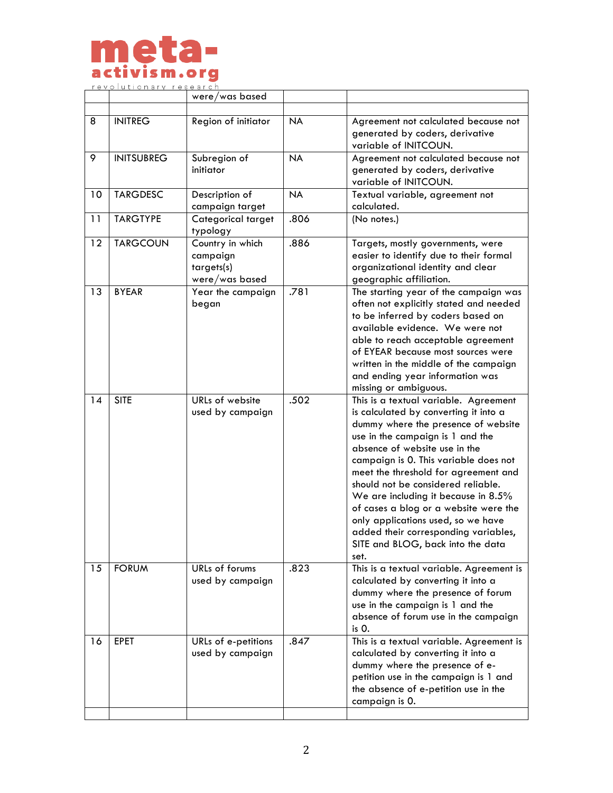

|    |                   | were/was based                                               |           |                                                                                                                                                                                                                                                                                                                                                                                                                                                                                                                              |
|----|-------------------|--------------------------------------------------------------|-----------|------------------------------------------------------------------------------------------------------------------------------------------------------------------------------------------------------------------------------------------------------------------------------------------------------------------------------------------------------------------------------------------------------------------------------------------------------------------------------------------------------------------------------|
|    |                   |                                                              |           |                                                                                                                                                                                                                                                                                                                                                                                                                                                                                                                              |
| 8  | <b>INITREG</b>    | Region of initiator                                          | <b>NA</b> | Agreement not calculated because not<br>generated by coders, derivative<br>variable of INITCOUN.                                                                                                                                                                                                                                                                                                                                                                                                                             |
| 9  | <b>INITSUBREG</b> | Subregion of<br>initiator                                    | <b>NA</b> | Agreement not calculated because not<br>generated by coders, derivative<br>variable of INITCOUN.                                                                                                                                                                                                                                                                                                                                                                                                                             |
| 10 | <b>TARGDESC</b>   | Description of<br>campaign target                            | <b>NA</b> | Textual variable, agreement not<br>calculated.                                                                                                                                                                                                                                                                                                                                                                                                                                                                               |
| 11 | <b>TARGTYPE</b>   | Categorical target<br>typology                               | .806      | (No notes.)                                                                                                                                                                                                                                                                                                                                                                                                                                                                                                                  |
| 12 | <b>TARGCOUN</b>   | Country in which<br>campaign<br>targets(s)<br>were/was based | .886      | Targets, mostly governments, were<br>easier to identify due to their formal<br>organizational identity and clear<br>geographic affiliation.                                                                                                                                                                                                                                                                                                                                                                                  |
| 13 | <b>BYEAR</b>      | Year the campaign<br>began                                   | .781      | The starting year of the campaign was<br>often not explicitly stated and needed<br>to be inferred by coders based on<br>available evidence. We were not<br>able to reach acceptable agreement<br>of EYEAR because most sources were<br>written in the middle of the campaign<br>and ending year information was<br>missing or ambiguous.                                                                                                                                                                                     |
| 14 | <b>SITE</b>       | URLs of website<br>used by campaign                          | .502      | This is a textual variable. Agreement<br>is calculated by converting it into a<br>dummy where the presence of website<br>use in the campaign is 1 and the<br>absence of website use in the<br>campaign is 0. This variable does not<br>meet the threshold for agreement and<br>should not be considered reliable.<br>We are including it because in 8.5%<br>of cases a blog or a website were the<br>only applications used, so we have<br>added their corresponding variables,<br>SITE and BLOG, back into the data<br>set. |
| 15 | <b>FORUM</b>      | URLs of forums<br>used by campaign                           | .823      | This is a textual variable. Agreement is<br>calculated by converting it into a<br>dummy where the presence of forum<br>use in the campaign is 1 and the<br>absence of forum use in the campaign<br>$is0$ .                                                                                                                                                                                                                                                                                                                   |
| 16 | <b>EPET</b>       | URLs of e-petitions<br>used by campaign                      | .847      | This is a textual variable. Agreement is<br>calculated by converting it into a<br>dummy where the presence of e-<br>petition use in the campaign is 1 and<br>the absence of e-petition use in the<br>campaign is 0.                                                                                                                                                                                                                                                                                                          |
|    |                   |                                                              |           |                                                                                                                                                                                                                                                                                                                                                                                                                                                                                                                              |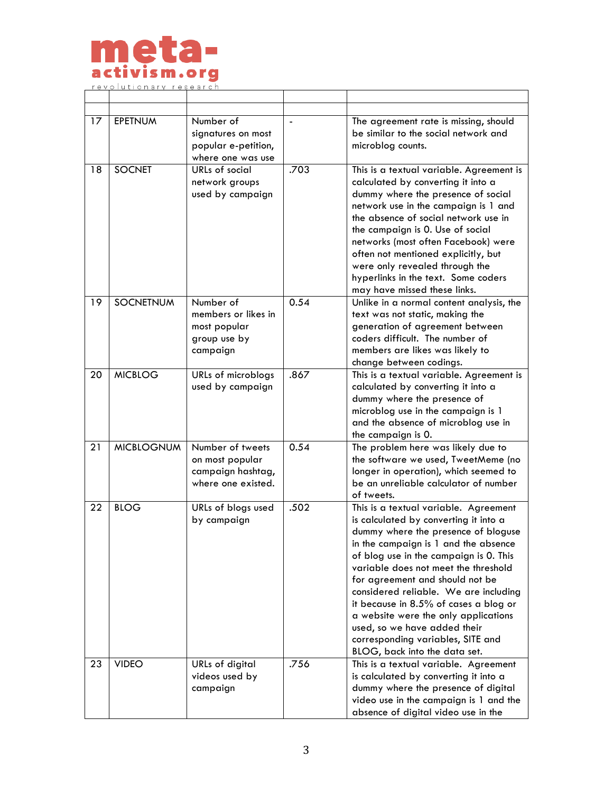

| 17 | <b>EPETNUM</b>    | Number of<br>signatures on most<br>popular e-petition,<br>where one was use    |      | The agreement rate is missing, should<br>be similar to the social network and<br>microblog counts.                                                                                                                                                                                                                                                                                                                                                                                                                 |
|----|-------------------|--------------------------------------------------------------------------------|------|--------------------------------------------------------------------------------------------------------------------------------------------------------------------------------------------------------------------------------------------------------------------------------------------------------------------------------------------------------------------------------------------------------------------------------------------------------------------------------------------------------------------|
| 18 | <b>SOCNET</b>     | URLs of social<br>network groups<br>used by campaign                           | .703 | This is a textual variable. Agreement is<br>calculated by converting it into a<br>dummy where the presence of social<br>network use in the campaign is 1 and<br>the absence of social network use in<br>the campaign is 0. Use of social<br>networks (most often Facebook) were<br>often not mentioned explicitly, but<br>were only revealed through the<br>hyperlinks in the text. Some coders<br>may have missed these links.                                                                                    |
| 19 | <b>SOCNETNUM</b>  | Number of<br>members or likes in<br>most popular<br>group use by<br>campaign   | 0.54 | Unlike in a normal content analysis, the<br>text was not static, making the<br>generation of agreement between<br>coders difficult. The number of<br>members are likes was likely to<br>change between codings.                                                                                                                                                                                                                                                                                                    |
| 20 | <b>MICBLOG</b>    | URLs of microblogs<br>used by campaign                                         | .867 | This is a textual variable. Agreement is<br>calculated by converting it into a<br>dummy where the presence of<br>microblog use in the campaign is 1<br>and the absence of microblog use in<br>the campaign is 0.                                                                                                                                                                                                                                                                                                   |
| 21 | <b>MICBLOGNUM</b> | Number of tweets<br>on most popular<br>campaign hashtag,<br>where one existed. | 0.54 | The problem here was likely due to<br>the software we used, TweetMeme (no<br>longer in operation), which seemed to<br>be an unreliable calculator of number<br>of tweets.                                                                                                                                                                                                                                                                                                                                          |
| 22 | <b>BLOG</b>       | URLs of blogs used<br>by campaign                                              | .502 | This is a textual variable. Agreement<br>is calculated by converting it into a<br>dummy where the presence of bloguse<br>in the campaign is 1 and the absence<br>of blog use in the campaign is 0. This<br>variable does not meet the threshold<br>for agreement and should not be<br>considered reliable. We are including<br>it because in 8.5% of cases a blog or<br>a website were the only applications<br>used, so we have added their<br>corresponding variables, SITE and<br>BLOG, back into the data set. |
| 23 | <b>VIDEO</b>      | URLs of digital<br>videos used by<br>campaign                                  | .756 | This is a textual variable. Agreement<br>is calculated by converting it into a<br>dummy where the presence of digital<br>video use in the campaign is 1 and the<br>absence of digital video use in the                                                                                                                                                                                                                                                                                                             |